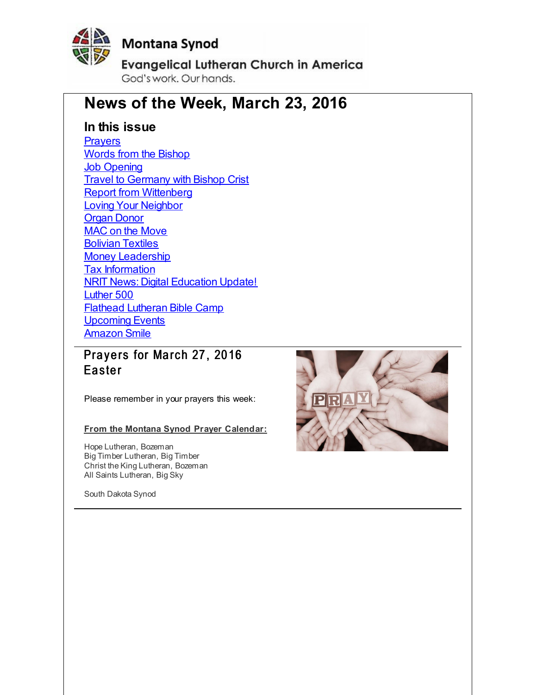<span id="page-0-0"></span>

# **Montana Synod**

**Evangelical Lutheran Church in America** God's work, Our hands,

# **News of the Week, March 23, 2016**

# **In this issue**

**[Prayers](#page-0-0)** Words from the [Bishop](#page-0-0) **Job [Opening](#page-0-0)** Travel to [Germany](#page-0-0) with Bishop Crist **Report from [Wittenberg](#page-0-0)** Loving Your [Neighbor](#page-0-0) [Organ](#page-0-0) Donor MAC on the [Move](#page-0-0) [Bolivian](#page-0-0) Textiles Money [Leadership](#page-0-0) Tax [Information](#page-0-0) NRIT News: Digital [Education](#page-0-0) Update! [Luther](#page-0-0) 500 Flathead [Lutheran](#page-0-0) Bible Camp [Upcoming](#page-0-0) Events [Amazon](#page-0-0) Smile

Prayers for March 27, 2016 **Easter** 

Please remember in your prayers this week:

#### **From the Montana Synod Prayer Calendar:**

Hope Lutheran, Bozeman Big Timber Lutheran, Big Timber Christ the King Lutheran, Bozeman All Saints Lutheran, Big Sky

South Dakota Synod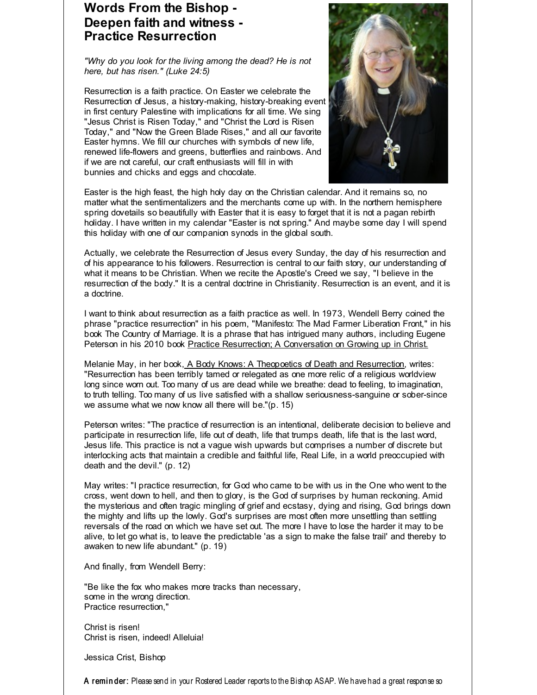## **Words From the Bishop - Deepen faith and witness - Practice Resurrection**

*"Why do you look for the living among the dead? He is not here, but has risen." (Luke 24:5)*

Resurrection is a faith practice. On Easter we celebrate the Resurrection of Jesus, a history-making, history-breaking event in first century Palestine with implications for all time. We sing "Jesus Christ is Risen Today," and "Christ the Lord is Risen Today," and "Now the Green Blade Rises," and all our favorite Easter hymns. We fill our churches with symbols of new life, renewed life-flowers and greens, butterflies and rainbows. And if we are not careful, our craft enthusiasts will fill in with bunnies and chicks and eggs and chocolate.



Easter is the high feast, the high holy day on the Christian calendar. And it remains so, no matter what the sentimentalizers and the merchants come up with. In the northern hemisphere spring dovetails so beautifully with Easter that it is easy to forget that it is not a pagan rebirth holiday. I have written in my calendar "Easter is not spring." And maybe some day I will spend this holiday with one of our companion synods in the global south.

Actually, we celebrate the Resurrection of Jesus every Sunday, the day of his resurrection and of his appearance to his followers. Resurrection is central to our faith story, our understanding of what it means to be Christian. When we recite the Apostle's Creed we say, "I believe in the resurrection of the body." It is a central doctrine in Christianity. Resurrection is an event, and it is a doctrine.

I want to think about resurrection as a faith practice as well. In 1973, Wendell Berry coined the phrase "practice resurrection" in his poem, "Manifesto: The Mad Farmer Liberation Front," in his book The Country of Marriage. It is a phrase that has intrigued many authors, including Eugene Peterson in his 2010 book Practice Resurrection; A Conversation on Growing up in Christ.

Melanie May, in her book, A Body Knows: A Theopoetics of Death and Resurrection, writes: "Resurrection has been terribly tamed or relegated as one more relic of a religious worldview long since worn out. Too many of us are dead while we breathe: dead to feeling, to imagination, to truth telling. Too many of us live satisfied with a shallow seriousness-sanguine or sober-since we assume what we now know all there will be."(p. 15)

Peterson writes: "The practice of resurrection is an intentional, deliberate decision to believe and participate in resurrection life, life out of death, life that trumps death, life that is the last word, Jesus life. This practice is not a vague wish upwards but comprises a number of discrete but interlocking acts that maintain a credible and faithful life, Real Life, in a world preoccupied with death and the devil." (p. 12)

May writes: "I practice resurrection, for God who came to be with us in the One who went to the cross, went down to hell, and then to glory, is the God of surprises by human reckoning. Amid the mysterious and often tragic mingling of grief and ecstasy, dying and rising, God brings down the mighty and lifts up the lowly. God's surprises are most often more unsettling than settling reversals of the road on which we have set out. The more I have to lose the harder it may to be alive, to let go what is, to leave the predictable 'as a sign to make the false trail' and thereby to awaken to new life abundant." (p. 19)

And finally, from Wendell Berry:

"Be like the fox who makes more tracks than necessary, some in the wrong direction. Practice resurrection,"

Christ is risen! Christ is risen, indeed! Alleluia!

Jessica Crist, Bishop

A reminder: Please send in your Rostered Leader reports to the Bishop ASAP. We have had a great response so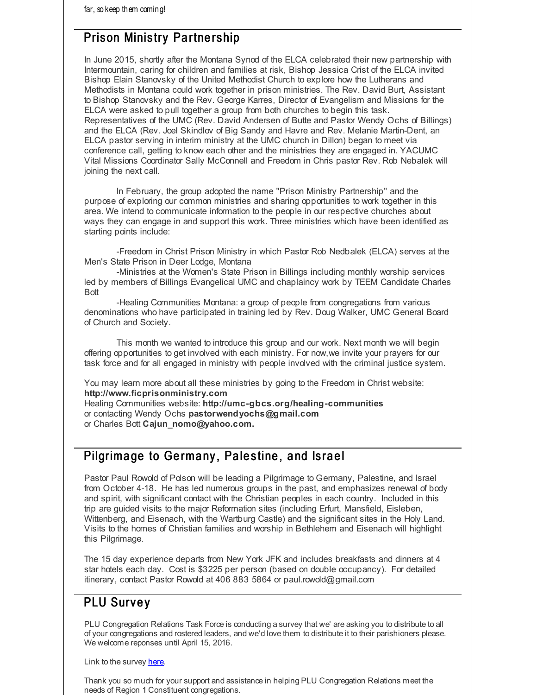# Prison Ministry Partnership

In June 2015, shortly after the Montana Synod of the ELCA celebrated their new partnership with Intermountain, caring for children and families at risk, Bishop Jessica Crist of the ELCA invited Bishop Elain Stanovsky of the United Methodist Church to explore how the Lutherans and Methodists in Montana could work together in prison ministries. The Rev. David Burt, Assistant to Bishop Stanovsky and the Rev. George Karres, Director of Evangelism and Missions for the ELCA were asked to pull together a group from both churches to begin this task. Representatives of the UMC (Rev. David Andersen of Butte and Pastor Wendy Ochs of Billings) and the ELCA (Rev. Joel Skindlov of Big Sandy and Havre and Rev. Melanie Martin-Dent, an ELCA pastor serving in interim ministry at the UMC church in Dillon) began to meet via conference call, getting to know each other and the ministries they are engaged in. YACUMC Vital Missions Coordinator Sally McConnell and Freedom in Chris pastor Rev. Rob Nebalek will joining the next call.

In February, the group adopted the name "Prison Ministry Partnership" and the purpose of exploring our common ministries and sharing opportunities to work together in this area. We intend to communicate information to the people in our respective churches about ways they can engage in and support this work. Three ministries which have been identified as starting points include:

-Freedom in Christ Prison Ministry in which Pastor Rob Nedbalek (ELCA) serves at the Men's State Prison in Deer Lodge, Montana

-Ministries at the Women's State Prison in Billings including monthly worship services led by members of Billings Evangelical UMC and chaplaincy work by TEEM Candidate Charles Bott

-Healing Communities Montana: a group of people from congregations from various denominations who have participated in training led by Rev. Doug Walker, UMC General Board of Church and Society.

This month we wanted to introduce this group and our work. Next month we will begin offering opportunities to get involved with each ministry. For now,we invite your prayers for our task force and for all engaged in ministry with people involved with the criminal justice system.

You may learn more about all these ministries by going to the Freedom in Christ website: **http://www.ficprisonministry.com**

Healing Communities website: **http://umc-gbcs.org/healing-communities** or contacting Wendy Ochs **pastorwendyochs@gmail.com** or Charles Bott **Cajun\_nomo@yahoo.com.**

# Pilgrimage to Germany, Palestine, and Israel

Pastor Paul Rowold of Polson will be leading a Pilgrimage to Germany, Palestine, and Israel from October 4-18. He has led numerous groups in the past, and emphasizes renewal of body and spirit, with significant contact with the Christian peoples in each country. Included in this trip are guided visits to the major Reformation sites (including Erfurt, Mansfield, Eisleben, Wittenberg, and Eisenach, with the Wartburg Castle) and the significant sites in the Holy Land. Visits to the homes of Christian families and worship in Bethlehem and Eisenach will highlight this Pilgrimage.

The 15 day experience departs from New York JFK and includes breakfasts and dinners at 4 star hotels each day. Cost is \$3225 per person (based on double occupancy). For detailed itinerary, contact Pastor Rowold at 406 883 5864 or paul.rowold@gmail.com

# **PLU Survey**

PLU Congregation Relations Task Force is conducting a survey that we' are asking you to distribute to all of your congregations and rostered leaders, and we'd love them to distribute it to their parishioners please. We welcome reponses until April 15, 2016.

Link to the survey [here](http://r20.rs6.net/tn.jsp?f=001Ydfd06k0Mr22pqlbg7B9zg4shfqMyHh_FwraXncdt1EC8imkAcaxU1v5OKAO9UMs6W4jRfCkUlP2L3zNYeLpHJ8lw73komCQc_n-KIpH3fTdRIlxL307tHUMH2AhgG-bYtK3D_d5j9Jx9rj7mru2_Ljp_wYf8mptlLpPD5tuz6TQcc-GEifHbYkdg1Q4QwuQ16thDxwzYJoR1HkYc_56Aw==&c=&ch=).

Thank you so much for your support and assistance in helping PLU Congregation Relations meet the needs of Region 1 Constituent congregations.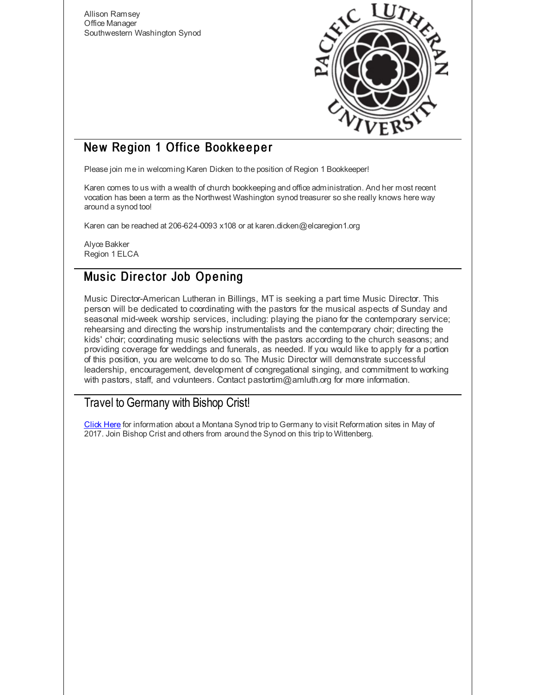Allison Ramsey Office Manager Southwestern Washington Synod



# New Region 1 Office Bookkeeper

Please join me in welcoming Karen Dicken to the position of Region 1 Bookkeeper!

Karen comes to us with a wealth of church bookkeeping and office administration. And her most recent vocation has been a term as the Northwest Washington synod treasurer so she really knows here way around a synod too!

Karen can be reached at 206-624-0093 x108 or at karen.dicken@elcaregion1.org

Alyce Bakker Region 1 ELCA

# Music Director Job Opening

Music Director-American Lutheran in Billings, MT is seeking a part time Music Director. This person will be dedicated to coordinating with the pastors for the musical aspects of Sunday and seasonal mid-week worship services, including: playing the piano for the contemporary service; rehearsing and directing the worship instrumentalists and the contemporary choir; directing the kids' choir; coordinating music selections with the pastors according to the church seasons; and providing coverage for weddings and funerals, as needed. If you would like to apply for a portion of this position, you are welcome to do so. The Music Director will demonstrate successful leadership, encouragement, development of congregational singing, and commitment to working with pastors, staff, and volunteers. Contact pastortim@amluth.org for more information.

## Travel to Germany with Bishop Crist!

[Click](http://r20.rs6.net/tn.jsp?f=001Ydfd06k0Mr22pqlbg7B9zg4shfqMyHh_FwraXncdt1EC8imkAcaxU-2TeyqlbVpV2PYmJkkLcIf9WnTrP49hQgKETWVoQI_p2C1RPHviFQ4dyR8I3sCA5vL2Rmb1Wb69EiOBKX-87zU7YFV4x2PDDGwNBuvWMkgO03UCxyK9T9S5C32_wD9jlXlUSZsvStPTdMY3PjLvH8JyvHY0MMQMo3_CKRrHU7NtalVnH2lJnN9hqzfAzjnAWgU6ESg4wb-1YEQ6rkaSCwJOB8WWnbwc8JPzSJL4pKxj&c=&ch=) Here for information about a Montana Synod trip to Germany to visit Reformation sites in May of 2017. Join Bishop Crist and others from around the Synod on this trip to Wittenberg.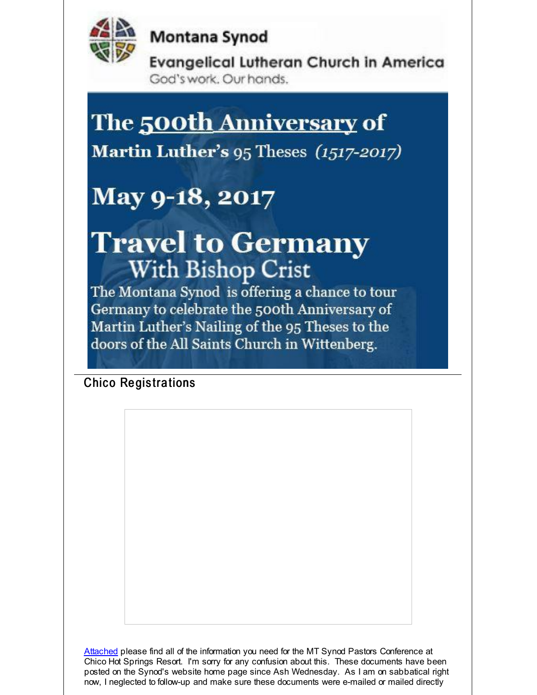

Montana Synod

**Evangelical Lutheran Church in America** God's work. Our hands.

# The <u>500th Anniversary</u> of

Martin Luther's 95 Theses (1517-2017)

# May 9-18, 2017

# **Travel to Germany With Bishop Crist**

The Montana Synod is offering a chance to tour Germany to celebrate the 500th Anniversary of Martin Luther's Nailing of the 95 Theses to the doors of the All Saints Church in Wittenberg.

**Chico Registrations** 

[Attached](http://r20.rs6.net/tn.jsp?f=001Ydfd06k0Mr22pqlbg7B9zg4shfqMyHh_FwraXncdt1EC8imkAcaxU5DTASQpS2fvN6ZoopNVLZq03PsK81GScnmO4VXXE92YE0rf-uolNeNyVlp2oWysFB3AdWLAbNr5yZ-BES1OcPKVn5ygYbiIcWDuzCSCrBzRxZcfDl4XbNj4hwk3xVJ9KkzfpJN1TZ_KS3ECctW4Z6w=&c=&ch=) please find all of the information you need for the MT Synod Pastors Conference at Chico Hot Springs Resort. I'm sorry for any confusion about this. These documents have been posted on the Synod's website home page since Ash Wednesday. As I am on sabbatical right now, I neglected to follow-up and make sure these documents were e-mailed or mailed directly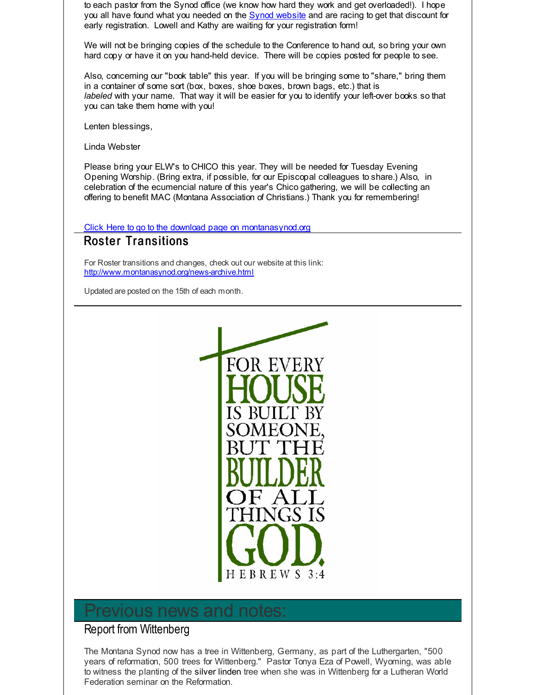to each pastor from the Synod office (we know how hard they work and get overloaded!). I hope you all have found what you needed on the Synod [website](http://r20.rs6.net/tn.jsp?f=001Ydfd06k0Mr22pqlbg7B9zg4shfqMyHh_FwraXncdt1EC8imkAcaxU5DTASQpS2fvN6ZoopNVLZq03PsK81GScnmO4VXXE92YE0rf-uolNeNyVlp2oWysFB3AdWLAbNr5yZ-BES1OcPKVn5ygYbiIcWDuzCSCrBzRxZcfDl4XbNj4hwk3xVJ9KkzfpJN1TZ_KS3ECctW4Z6w=&c=&ch=) and are racing to get that discount for early registration. Lowell and Kathy are waiting for your registration form!

We will not be bringing copies of the schedule to the Conference to hand out, so bring your own hard copy or have it on you hand-held device. There will be copies posted for people to see.

Also, concerning our "book table" this year. If you will be bringing some to "share," bring them in a container of some sort (box, boxes, shoe boxes, brown bags, etc.) that is *labeled* with your name. That way it will be easier for you to identify your left-over books so that you can take them home with you!

Lenten blessings,

Linda Webster

Please bring your ELW's to CHICO this year. They will be needed for Tuesday Evening Opening Worship. (Bring extra, if possible, for our Episcopal colleagues to share.) Also, in celebration of the ecumencial nature of this year's Chico gathering, we will be collecting an offering to benefit MAC (Montana Association of Christians.) Thank you for remembering!

Click Here to go to the download page on [montanasynod.org](http://r20.rs6.net/tn.jsp?f=001Ydfd06k0Mr22pqlbg7B9zg4shfqMyHh_FwraXncdt1EC8imkAcaxU5DTASQpS2fvN6ZoopNVLZq03PsK81GScnmO4VXXE92YE0rf-uolNeNyVlp2oWysFB3AdWLAbNr5yZ-BES1OcPKVn5ygYbiIcWDuzCSCrBzRxZcfDl4XbNj4hwk3xVJ9KkzfpJN1TZ_KS3ECctW4Z6w=&c=&ch=)

#### **Roster Transitions**

For Roster transitions and changes, check out our website at this link: [http://www.montanasynod.org/news-archive.html](http://r20.rs6.net/tn.jsp?f=001Ydfd06k0Mr22pqlbg7B9zg4shfqMyHh_FwraXncdt1EC8imkAcaxU51DSAVlXmroh1z32dOt1ZFYEPRWKVBtfS-5O15zmrbRcJIvZTRvDAT_Yz1lwPvPgQVRWnGBE77CCKs30FVeL4hCUSUMc_wJR8iqleq4mjcO7nm6sN2yyWd2xiOdYQYXlPqxEQGKISJf-nav3pTSCjQ=&c=&ch=)

Updated are posted on the 15th of each month.



# revious news and

#### Report from Wittenberg

The Montana Synod now has a tree in Wittenberg, Germany, as part of the Luthergarten, "500 years of reformation, 500 trees for Wittenberg." Pastor Tonya Eza of Powell, Wyoming, was able to witness the planting of the silver linden tree when she was in Wittenberg for a Lutheran World Federation seminar on the Reformation.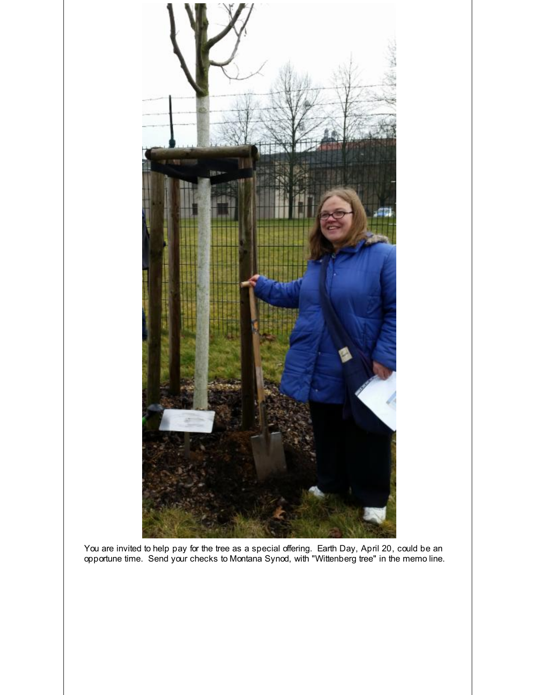

You are invited to help pay for the tree as a special offering. Earth Day, April 20, could be an opportune time. Send your checks to Montana Synod, with "Wittenberg tree" in the memo line.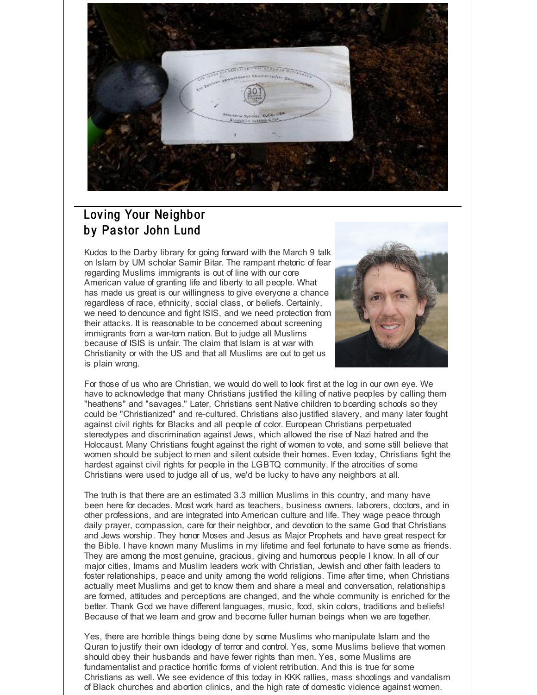

# Loving Your Neighbor by Pastor John Lund

Kudos to the Darby library for going forward with the March 9 talk on Islam by UM scholar Samir Bitar. The rampant rhetoric of fear regarding Muslims immigrants is out of line with our core American value of granting life and liberty to all people. What has made us great is our willingness to give everyone a chance regardless of race, ethnicity, social class, or beliefs. Certainly, we need to denounce and fight ISIS, and we need protection from their attacks. It is reasonable to be concerned about screening immigrants from a war-torn nation. But to judge all Muslims because of ISIS is unfair. The claim that Islam is at war with Christianity or with the US and that all Muslims are out to get us is plain wrong.



For those of us who are Christian, we would do well to look first at the log in our own eye. We have to acknowledge that many Christians justified the killing of native peoples by calling them "heathens" and "savages." Later, Christians sent Native children to boarding schools so they could be "Christianized" and re-cultured. Christians also justified slavery, and many later fought against civil rights for Blacks and all people of color. European Christians perpetuated stereotypes and discrimination against Jews, which allowed the rise of Nazi hatred and the Holocaust. Many Christians fought against the right of women to vote, and some still believe that women should be subject to men and silent outside their homes. Even today, Christians fight the hardest against civil rights for people in the LGBTQ community. If the atrocities of some Christians were used to judge all of us, we'd be lucky to have any neighbors at all.

The truth is that there are an estimated 3.3 million Muslims in this country, and many have been here for decades. Most work hard as teachers, business owners, laborers, doctors, and in other professions, and are integrated into American culture and life. They wage peace through daily prayer, compassion, care for their neighbor, and devotion to the same God that Christians and Jews worship. They honor Moses and Jesus as Major Prophets and have great respect for the Bible. I have known many Muslims in my lifetime and feel fortunate to have some as friends. They are among the most genuine, gracious, giving and humorous people I know. In all of our major cities, Imams and Muslim leaders work with Christian, Jewish and other faith leaders to foster relationships, peace and unity among the world religions. Time after time, when Christians actually meet Muslims and get to know them and share a meal and conversation, relationships are formed, attitudes and perceptions are changed, and the whole community is enriched for the better. Thank God we have different languages, music, food, skin colors, traditions and beliefs! Because of that we learn and grow and become fuller human beings when we are together.

Yes, there are horrible things being done by some Muslims who manipulate Islam and the Quran to justify their own ideology of terror and control. Yes, some Muslims believe that women should obey their husbands and have fewer rights than men. Yes, some Muslims are fundamentalist and practice horrific forms of violent retribution. And this is true for some Christians as well. We see evidence of this today in KKK rallies, mass shootings and vandalism of Black churches and abortion clinics, and the high rate of domestic violence against women.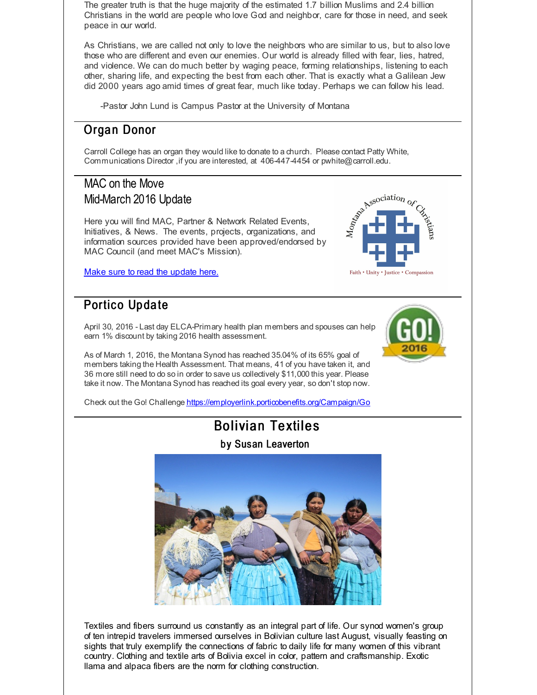The greater truth is that the huge majority of the estimated 1.7 billion Muslims and 2.4 billion Christians in the world are people who love God and neighbor, care for those in need, and seek peace in our world.

As Christians, we are called not only to love the neighbors who are similar to us, but to also love those who are different and even our enemies. Our world is already filled with fear, lies, hatred, and violence. We can do much better by waging peace, forming relationships, listening to each other, sharing life, and expecting the best from each other. That is exactly what a Galilean Jew did 2000 years ago amid times of great fear, much like today. Perhaps we can follow his lead.

-Pastor John Lund is Campus Pastor at the University of Montana

# Organ Donor

Carroll College has an organ they would like to donate to a church. Please contact Patty White, Communications Director, if you are interested, at 406-447-4454 or pwhite@carroll.edu.

# MAC on the Move Mid-March 2016 Update

Here you will find MAC, Partner & Network Related Events, Initiatives, & News. The events, projects, organizations, and information sources provided have been approved/endorsed by MAC Council (and meet MAC's Mission).

Make sure to read the [update](http://r20.rs6.net/tn.jsp?f=001Ydfd06k0Mr22pqlbg7B9zg4shfqMyHh_FwraXncdt1EC8imkAcaxU6vUxGjvh-sr_9i0qSwokwazM6FmeYc7rS3LywFkPzyQtKTmqmzUjDz-9VTqWi7DsIo_Ouake6kNnQ2lSsDTEahJA37m3mCxuF-mducQSLUQdHAawXOnbzm8DpiNwFNO3wArYv4_-3wztIrZBtIGpew9zHy8fCYyoiX_IJ4Uw4xHacgsmDvDCL7NqjFgvPIf1PFXR2iJnKgA&c=&ch=) here.

# Portico Update

April 30, 2016 - Last day ELCA-Primary health plan members and spouses can help earn 1% discount by taking 2016 health assessment.

As of March 1, 2016, the Montana Synod has reached 35.04% of its 65% goal of members taking the Health Assessment. That means, 41 of you have taken it, and 36 more still need to do so in order to save us collectively \$11,000 this year. Please take it now. The Montana Synod has reached its goal every year, so don't stop now.

Check out the Go! Challenge [https://employerlink.porticobenefits.org/Campaign/Go](http://r20.rs6.net/tn.jsp?f=001Ydfd06k0Mr22pqlbg7B9zg4shfqMyHh_FwraXncdt1EC8imkAcaxU6vUxGjvh-srpSXp3YxD3tByQ9Lwn7OrDwX0DJ6Bf7H3lsFxJ5PrS0Ux8jf6xgreW8xfLNAZIJNVnNGphoGavFjD3pAvGLe-LnDSdlzLX4OXuz_5TWuwJm91XUcIAU9a_1UW2LMlxxgQCd02ESmpt5iB35zKy2JmMw==&c=&ch=)

# **Bolivian Textiles**

by Susan Leaverton



Textiles and fibers surround us constantly as an integral part of life. Our synod women's group of ten intrepid travelers immersed ourselves in Bolivian culture last August, visually feasting on sights that truly exemplify the connections of fabric to daily life for many women of this vibrant country. Clothing and textile arts of Bolivia excel in color, pattern and craftsmanship. Exotic llama and alpaca fibers are the norm for clothing construction.



Association

Faith • Unity • Justice • Compassion

Montage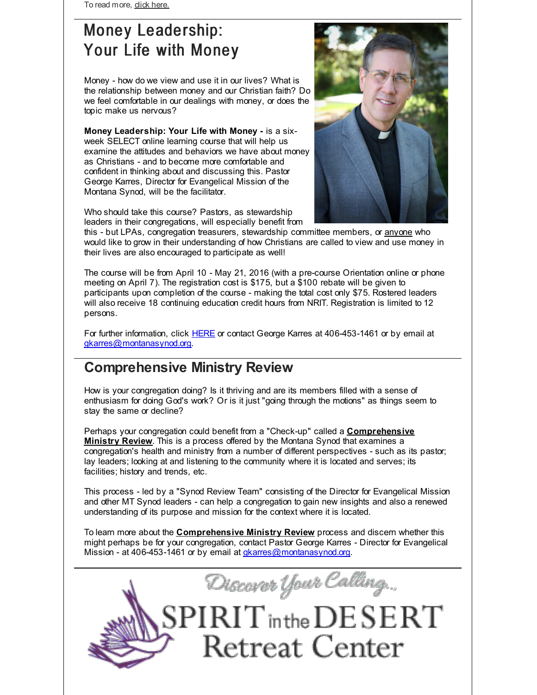To read more, dick [here.](http://r20.rs6.net/tn.jsp?f=001Ydfd06k0Mr22pqlbg7B9zg4shfqMyHh_FwraXncdt1EC8imkAcaxU-7BHbiQIfux_NbT-zrB3IyVbiwbu0-L6CBX5WhAJENA0d2HNvTq2r7nrJ3XBB9aufcBT9nSw2sSvuZR-ZYpGLck5BpDx4gA4CiwLdqT8e85dG2Ldl0ph7zhsdeeuSsbxWXBe8BA_wg5bG1hYzZESLU=&c=&ch=)

# Money Leadership: Your Life with Money

Money - how do we view and use it in our lives? What is the relationship between money and our Christian faith? Do we feel comfortable in our dealings with money, or does the topic make us nervous?

**Money Leadership: Your Life with Money -** is a sixweek SELECT online learning course that will help us examine the attitudes and behaviors we have about money as Christians - and to become more comfortable and confident in thinking about and discussing this. Pastor George Karres, Director for Evangelical Mission of the Montana Synod, will be the facilitator.



Who should take this course? Pastors, as stewardship leaders in their congregations, will especially benefit from

this - but LPAs, congregation treasurers, stewardship committee members, or anyone who would like to grow in their understanding of how Christians are called to view and use money in their lives are also encouraged to participate as well!

The course will be from April 10 - May 21, 2016 (with a pre-course Orientation online or phone meeting on April 7). The registration cost is \$175, but a \$100 rebate will be given to participants upon completion of the course - making the total cost only \$75. Rostered leaders will also receive 18 continuing education credit hours from NRIT. Registration is limited to 12 persons.

For further information, click [HERE](http://r20.rs6.net/tn.jsp?f=001Ydfd06k0Mr22pqlbg7B9zg4shfqMyHh_FwraXncdt1EC8imkAcaxU51DSAVlXmro7gsBA3I1XHRh8y7x54UyPJFzv95oj5EBuA_ugpSKZa4x72vY4JapQPbRNN1-LqQg7OlDj1p5BCUA66EgGS8Lb-GBRtnd6v_mMbweliXjjCaq2NfNYPG3884ZaAI2cYprHwOXQeXfgMLl4czImDPLX1PbTTbqL1GCg5Il_Q8wudSaSTLbeHfvsQ6NC4d3rk0DErXZ2c6wWyI=&c=&ch=) or contact George Karres at 406-453-1461 or by email at [gkarres@montanasynod.org](mailto:gkarres@montanasynod.org).

# **Comprehensive Ministry Review**

How is your congregation doing? Is it thriving and are its members filled with a sense of enthusiasm for doing God's work? Or is it just "going through the motions" as things seem to stay the same or decline?

Perhaps your congregation could benefit from a "Check-up" called a **Comprehensive Ministry Review**. This is a process offered by the Montana Synod that examines a congregation's health and ministry from a number of different perspectives - such as its pastor; lay leaders; looking at and listening to the community where it is located and serves; its facilities; history and trends, etc.

This process - led by a "Synod Review Team" consisting of the Director for Evangelical Mission and other MT Synod leaders - can help a congregation to gain new insights and also a renewed understanding of its purpose and mission for the context where it is located.

To learn more about the **Comprehensive Ministry Review** process and discern whether this might perhaps be for your congregation, contact Pastor George Karres - Director for Evangelical Mission - at 406-453-1461 or by email at *[gkarres@montanasynod.org](mailto:gkarres@montanasynod.org)*.

Discover Your Calling... **IRIT** in the DESERT **Retreat Center**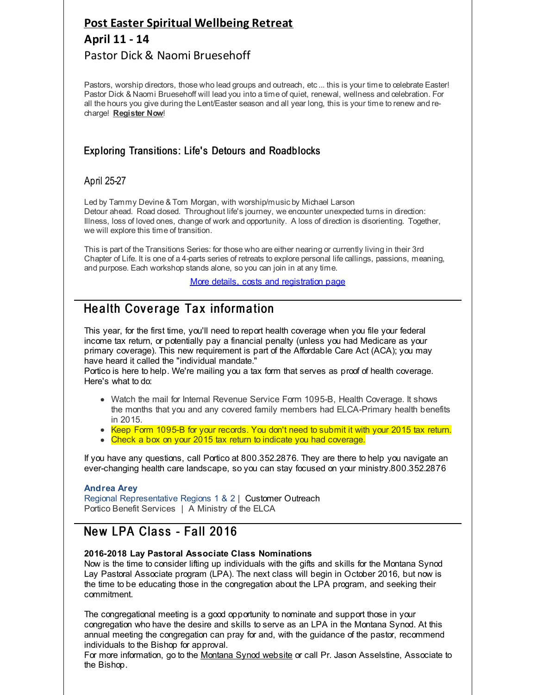# **Post Easter Spiritual [Wellbeing](http://r20.rs6.net/tn.jsp?f=001Ydfd06k0Mr22pqlbg7B9zg4shfqMyHh_FwraXncdt1EC8imkAcaxU0s1Y-acZaBYq3vEqBaVoiYR0J_Neawtu-RsKehRoqErrwK4ldaLCRvsjZFQHO22njn0r95xbIlelMsQgrbKEeCGhBe893QpE3Ms8_CzNmFeqC3AdDFVUP3NUVWpLnaM7CO0R29DeOZJzupqIhlS_bEgjDKHyE2CvWgB0Cs-fU6Ba1OSjlyMRBmyKgKuaCfmMeojWPoNzbpiaHbV01vaR3PdmcEOuYQiog==&c=&ch=) Retreat April 11 - 14** Pastor Dick & Naomi Bruesehoff

Pastors, worship directors, those who lead groups and outreach, etc... this is your time to celebrate Easter! Pastor Dick & Naomi Bruesehoff will lead you into a time of quiet, renewal, wellness and celebration. For all the hours you give during the Lent/Easter season and all year long, this is your time to renew and recharge! **[Register](http://r20.rs6.net/tn.jsp?f=001Ydfd06k0Mr22pqlbg7B9zg4shfqMyHh_FwraXncdt1EC8imkAcaxU0s1Y-acZaBYq3vEqBaVoiYR0J_Neawtu-RsKehRoqErrwK4ldaLCRvsjZFQHO22njn0r95xbIlelMsQgrbKEeCGhBe893QpE3Ms8_CzNmFeqC3AdDFVUP3NUVWpLnaM7CO0R29DeOZJzupqIhlS_bEgjDKHyE2CvWgB0Cs-fU6Ba1OSjlyMRBmyKgKuaCfmMeojWPoNzbpiaHbV01vaR3PdmcEOuYQiog==&c=&ch=) Now**!

#### Exploring Transitions: Life's Detours and Roadblocks

#### April 25-27

Led by Tammy Devine & Tom Morgan, with worship/music by Michael Larson Detour ahead. Road dosed. Throughout life's journey, we encounter unexpected turns in direction: Illness, loss of loved ones, change of work and opportunity. A loss of direction is disorienting. Together, we will explore this time of transition.

This is part of the Transitions Series: for those who are either nearing or currently living in their 3rd Chapter of Life. It is one of a 4-parts series of retreats to explore personal life callings, passions, meaning, and purpose. Each workshop stands alone, so you can join in at any time.

More details, costs and [registration](http://r20.rs6.net/tn.jsp?f=001Ydfd06k0Mr22pqlbg7B9zg4shfqMyHh_FwraXncdt1EC8imkAcaxU51DSAVlXmroVbiUyrv126C3VKCFoCUmtkoUeygaER6doGVZOT47TU15l-q_q9fcgDmoZfszJbBS13-zOtdYlCkPDPM0RIT9Fnt1vH6omMN8yQWz58ZVJR-4waM7eOlu498oDFEyMGeVLjBwArti0VgmH0hhZv8-9vTtJ-hnAW3cR8pxcOecCjBwpbVx9zdv6oUZAcjRdMXZ&c=&ch=) page

# Health Coverage Tax information

This year, for the first time, you'll need to report health coverage when you file your federal income tax return, or potentially pay a financial penalty (unless you had Medicare as your primary coverage). This new requirement is part of the Affordable Care Act (ACA); you may have heard it called the "individual mandate."

Portico is here to help. We're mailing you a tax form that serves as proof of health coverage. Here's what to do:

- Watch the mail for Internal Revenue Service Form 1095-B, Health Coverage. It shows the months that you and any covered family members had ELCA-Primary health benefits in 2015.
- Keep Form 1095-B for your records. You don't need to submit it with your 2015 tax return.
- Check a box on your 2015 tax return to indicate you had coverage.

If you have any questions, call Portico at 800.352.2876. They are there to help you navigate an ever-changing health care landscape, so you can stay focused on your ministry.800.352.2876

#### **Andrea Arey**

Regional Representative Regions 1 & 2 | Customer Outreach Portico Benefit Services | A Ministry of the ELCA

## New LPA Class - Fall 2016

#### **2016-2018 Lay Pastoral Associate Class Nominations**

Now is the time to consider lifting up individuals with the gifts and skills for the Montana Synod Lay Pastoral Associate program (LPA). The next class will begin in October 2016, but now is the time to be educating those in the congregation about the LPA program, and seeking their commitment.

The congregational meeting is a good opportunity to nominate and support those in your congregation who have the desire and skills to serve as an LPA in the Montana Synod. At this annual meeting the congregation can pray for and, with the guidance of the pastor, recommend individuals to the Bishop for approval.

For more information, go to the [Montana](http://r20.rs6.net/tn.jsp?f=001Ydfd06k0Mr22pqlbg7B9zg4shfqMyHh_FwraXncdt1EC8imkAcaxU4r9ruI6DMaSde7j0YOfhgiTC1ki6uV4MH_fc2_VzWmSvxD1kgf0tDZnu_ULkDPoimM9-LhIKL7XEkV8Qmim8hyeB0v3crkF1yru3b3IiXhutvBunFBCVU-wSXAe91N0Uw==&c=&ch=) Synod website or call Pr. Jason Asselstine, Associate to the Bishop.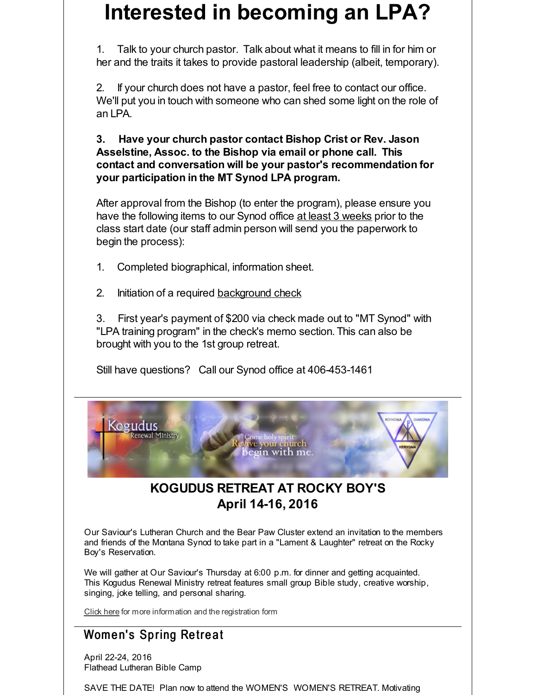# **Interested in becoming an LPA?**

1. Talk to your church pastor. Talk about what it means to fill in for him or her and the traits it takes to provide pastoral leadership (albeit, temporary).

2. If your church does not have a pastor, feel free to contact our office. We'll put you in touch with someone who can shed some light on the role of an LPA.

**3. Have your church pastor contact Bishop Crist or Rev. Jason Asselstine, Assoc. to the Bishop via email or phone call. This contact and conversation will be your pastor's recommendation for your participation in the MT Synod LPA program.**

After approval from the Bishop (to enter the program), please ensure you have the following items to our Synod office at least 3 weeks prior to the class start date (our staff admin person will send you the paperwork to begin the process):

- 1. Completed biographical, information sheet.
- 2. Initiation of a required [background](http://r20.rs6.net/tn.jsp?f=001Ydfd06k0Mr22pqlbg7B9zg4shfqMyHh_FwraXncdt1EC8imkAcaxU5ZGN8Ur2D4IKxIrxbPFTdPOfz3ato8lPnN3Vcs_0fFz5ibDabHGmMBV4jM4wWxuEcznQzKMQINuMG3UUqQIQ6fCmN9J29Ci6nu3aOjNxxe3eEmGv_7gTIan-ctGhmrCf4YIMyrBaBASjm39opZY8Dd6dCemepwONQ==&c=&ch=) check

3. First year's payment of \$200 via check made out to "MT Synod" with "LPA training program" in the check's memo section. This can also be brought with you to the 1st group retreat.

Still have questions? Call our Synod office at 406-453-1461



# **KOGUDUS RETREAT AT ROCKY BOY'S April 14-16, 2016**

Our Saviour's Lutheran Church and the Bear Paw Cluster extend an invitation to the members and friends of the Montana Synod to take part in a "Lament & Laughter" retreat on the Rocky Boy's Reservation.

We will gather at Our Saviour's Thursday at 6:00 p.m. for dinner and getting acquainted. This Kogudus Renewal Ministry retreat features small group Bible study, creative worship, singing, joke telling, and personal sharing.

[Click](http://r20.rs6.net/tn.jsp?f=001Ydfd06k0Mr22pqlbg7B9zg4shfqMyHh_FwraXncdt1EC8imkAcaxU_VoUi0iK4kkEY4KaXh9rg2DmhaGKCXVsbgIyblCrE97bZu85K1x1F4zT8czLlO0wBSkQF1PWXRro3naPbcU45UyrN-UKCmZRKGCIV_hzTSpHgd8Xse6okM0Wo3f2LxhgbtZhpSVc03HwcIr4siyv5qQ94MYeAxAGWvuueIToUtIalpJ6zDWUwJ7tgkno8iduHhsHv03HriqVnpRg_1BwbN4tiQdxP4XRqk29dlHACxa&c=&ch=) here for more information and the registration form

# Women's Spring Retreat

April 22-24, 2016 Flathead Lutheran Bible Camp

SAVE THE DATE! Plan now to attend the WOMEN'S WOMEN'S RETREAT. Motivating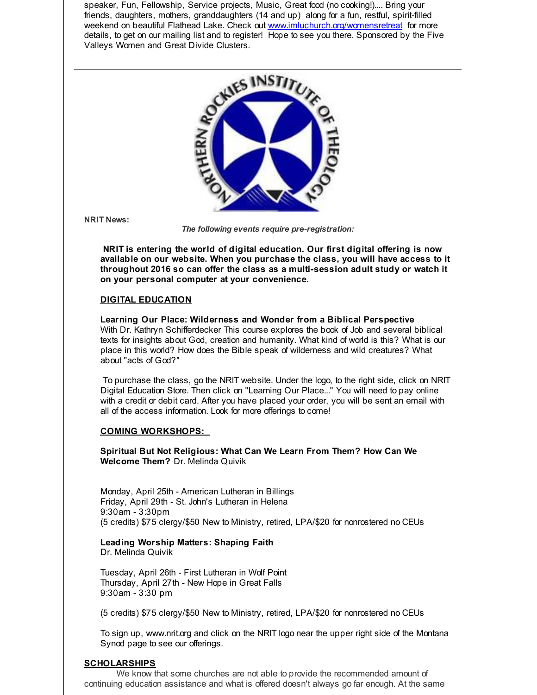speaker, Fun, Fellowship, Service projects, Music, Great food (no cooking!).... Bring your friends, daughters, mothers, granddaughters (14 and up) along for a fun, restful, spirit-filled weekend on beautiful Flathead Lake. Check out [www.imluchurch.org/womensretreat](http://r20.rs6.net/tn.jsp?f=001Ydfd06k0Mr22pqlbg7B9zg4shfqMyHh_FwraXncdt1EC8imkAcaxU1mArkQ_dPwdEwJPq4VoBLNVDAPJJbVMqwUWG3t540jMS6waooiAFHrQ4lHPbsWkuJQxXjcFY26DYwGFqv753g4Sauvm518fQjsiWnC_ThmGPqxA-YKJyUBsWlF_aNwqhQfc36soidvR&c=&ch=) for more details, to get on our mailing list and to register! Hope to see you there. Sponsored by the Five Valleys Women and Great Divide Clusters.



**NRIT News:**

*The following events require pre-registration:*

**NRIT is entering the world of digital education. Our first digital offering is now available on our website. When you purchase the class, you will have access to it throughout 2016 so can offer the class as a multi-session adult study or watch it on your personal computer at your convenience.**

#### **DIGITAL EDUCATION**

**Learning Our Place: Wilderness and Wonder from a Biblical Perspective** With Dr. Kathryn Schifferdecker This course explores the book of Job and several biblical texts for insights about God, creation and humanity. What kind of world is this? What is our place in this world? How does the Bible speak of wilderness and wild creatures? What about "acts of God?"

To purchase the class, go the NRIT website. Under the logo, to the right side, click on NRIT Digital Education Store. Then click on "Learning Our Place..." You will need to pay online with a credit or debit card. After you have placed your order, you will be sent an email with all of the access information. Look for more offerings to come!

#### **COMING WORKSHOPS:**

**Spiritual But Not Religious: What Can We Learn From Them? How Can We Welcome Them?** Dr. Melinda Quivik

Monday, April 25th - American Lutheran in Billings Friday, April 29th - St. John's Lutheran in Helena 9:30am - 3:30pm (5 credits) \$75 clergy/\$50 New to Ministry, retired, LPA/\$20 for nonrostered no CEUs

#### **Leading Worship Matters: Shaping Faith** Dr. Melinda Quivik

Tuesday, April 26th - First Lutheran in Wolf Point Thursday, April 27th - New Hope in Great Falls 9:30am - 3:30 pm

(5 credits) \$75 clergy/\$50 New to Ministry, retired, LPA/\$20 for nonrostered no CEUs

To sign up, www.nrit.org and click on the NRIT logo near the upper right side of the Montana Synod page to see our offerings.

#### **SCHOLARSHIPS**

We know that some churches are not able to provide the recommended amount of continuing education assistance and what is offered doesn't always go far enough. At the same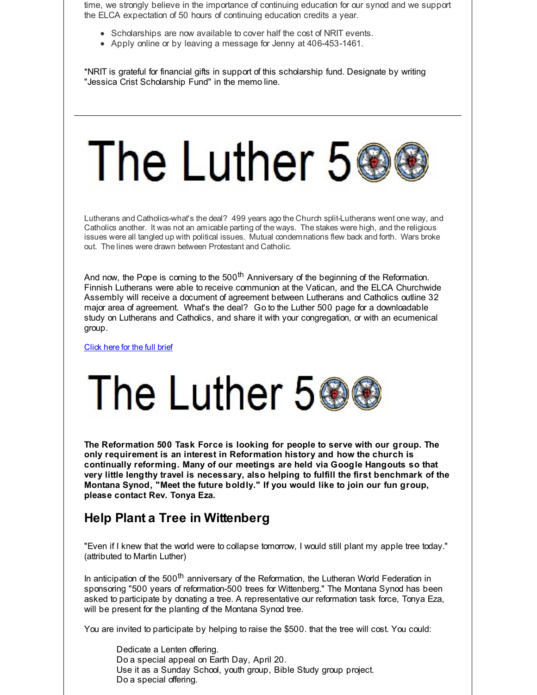time, we strongly believe in the importance of continuing education for our synod and we support the ELCA expectation of 50 hours of continuing education credits a year.

- Scholarships are now available to cover half the cost of NRIT events.
- Apply online or by leaving a message for Jenny at 406-453-1461.

\*NRIT is grateful for financial gifts in support of this scholarship fund. Designate by writing "Jessica Crist Scholarship Fund" in the memo line.

# The Luther 56

Lutherans and Catholics-what's the deal? 499 years ago the Church split-Lutherans went one way, and Catholics another. It was not an amicable parting of the ways. The stakes were high, and the religious issues were all tangled up with political issues. Mutual condemnations flew back and forth. Wars broke out. The lines were drawn between Protestant and Catholic.

And now, the Pope is coming to the 500<sup>th</sup> Anniversary of the beginning of the Reformation. Finnish Lutherans were able to receive communion at the Vatican, and the ELCA Churchwide Assembly will receive a document of agreement between Lutherans and Catholics outline 32 major area of agreement. What's the deal? Go to the Luther 500 page for a downloadable study on Lutherans and Catholics, and share it with your congregation, or with an ecumenical group.

[Click](http://r20.rs6.net/tn.jsp?f=001Ydfd06k0Mr22pqlbg7B9zg4shfqMyHh_FwraXncdt1EC8imkAcaxU51DSAVlXmro_NGxI5jIzRnH64d3fJ2oQMIeFOryUaaoNBG8qX1jEQn4k8_PzeqMnyGcPRapQOV05t2Tp9msrPyM7_0FPTbmM1LKt_lYVc5Lo9qW43bl3ViJPUHGsAnDAkLq5RiPXdwHs9jkiW5TKTLEQy8uBnQ1q6dOE4FA6ZAAfSHTQVGduYeX5bU6SZVAnqmSpahz9WVUJPzL0O-G-YK_oUMsZkI4jg==&c=&ch=) here for the full brief



**The Reformation 500 Task Force is looking for people to serve with our group. The only requirement is an interest in Reformation history and how the church is continually reforming. Many of our meetings are held via Google Hangouts so that very little lengthy travel is necessary, also helping to fulfill the first benchmark of the Montana Synod, "Meet the future boldly." If you would like to join our fun group, please contact Rev. Tonya Eza.**

# **Help Plant a Tree in Wittenberg**

"Even if I knew that the world were to collapse tomorrow, I would still plant my apple tree today." (attributed to Martin Luther)

In anticipation of the 500<sup>th</sup> anniversary of the Reformation, the Lutheran World Federation in sponsoring "500 years of reformation-500 trees for Wittenberg." The Montana Synod has been asked to participate by donating a tree. A representative our reformation task force, Tonya Eza, will be present for the planting of the Montana Synod tree.

You are invited to participate by helping to raise the \$500. that the tree will cost. You could:

Dedicate a Lenten offering. Do a special appeal on Earth Day, April 20. Use it as a Sunday School, youth group, Bible Study group project. Do a special offering.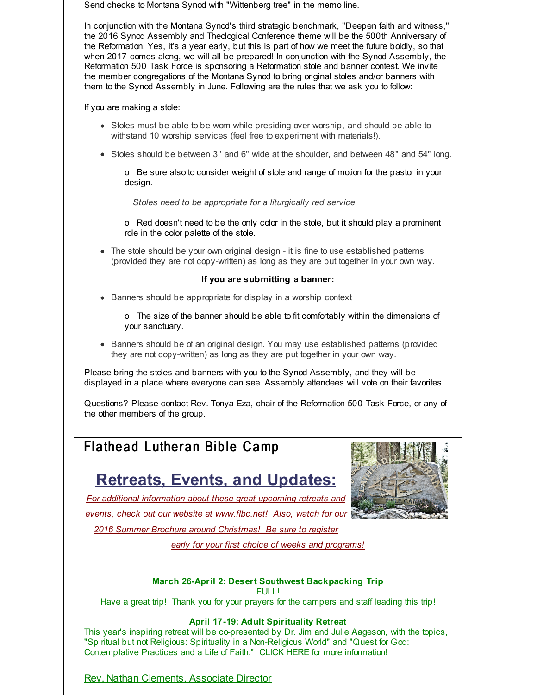Send checks to Montana Synod with "Wittenberg tree" in the memo line.

In conjunction with the Montana Synod's third strategic benchmark, "Deepen faith and witness," the 2016 Synod Assembly and Theological Conference theme will be the 500th Anniversary of the Reformation. Yes, it's a year early, but this is part of how we meet the future boldly, so that when 2017 comes along, we will all be prepared! In conjunction with the Synod Assembly, the Reformation 500 Task Force is sponsoring a Reformation stole and banner contest. We invite the member congregations of the Montana Synod to bring original stoles and/or banners with them to the Synod Assembly in June. Following are the rules that we ask you to follow:

If you are making a stole:

- Stoles must be able to be worn while presiding over worship, and should be able to withstand 10 worship services (feel free to experiment with materials!).
- Stoles should be between 3" and 6" wide at the shoulder, and between 48" and 54" long.

o Be sure also to consider weight of stole and range of motion for the pastor in your design.

*Stoles need to be appropriate for a liturgically red service*

o Red doesn't need to be the only color in the stole, but it should play a prominent role in the color palette of the stole.

The stole should be your own original design - it is fine to use established patterns (provided they are not copy-written) as long as they are put together in your own way.

#### **If you are submitting a banner:**

- Banners should be appropriate for display in a worship context
	- o The size of the banner should be able to fit comfortably within the dimensions of your sanctuary.
- Banners should be of an original design. You may use established patterns (provided they are not copy-written) as long as they are put together in your own way.

Please bring the stoles and banners with you to the Synod Assembly, and they will be displayed in a place where everyone can see. Assembly attendees will vote on their favorites.

Questions? Please contact Rev. Tonya Eza, chair of the Reformation 500 Task Force, or any of the other members of the group.

# Flathead Lutheran Bible Camp

# **Retreats, Events, and Updates:**



*For additional information about these great upcoming retreats and events, check out our website at [www.flbc.net](http://r20.rs6.net/tn.jsp?f=001Ydfd06k0Mr22pqlbg7B9zg4shfqMyHh_FwraXncdt1EC8imkAcaxU1n_vyPs-jf05tRRgGuofMpT1RllAUfihiNI_MNZbYGhhRY7d2id1zAy2OQLDhUPvPSa8Eib-8Y_-V-4CA88rlvPU-uxUFDzoYl7EyCoFanUacpBn6zjDTl63AXsjINpaofQOVb3iDki-Bdgk95HmH6h8ah16fdY9XG2QFwrcPGjh9fgmPwqIG7xbnMulZuBHIRtEWH9qDzJ&c=&ch=)! Also, watch for our 2016 Summer Brochure around Christmas! Be sure to register*

*early for your first choice of weeks and programs!*

#### **March 26-April 2: Desert Southwest Backpacking Trip**

FULL!

Have a great trip! Thank you for your prayers for the campers and staff leading this trip!

#### **April 17-19: Adult Spirituality Retreat**

This year's inspiring retreat will be co-presented by Dr. Jim and Julie Aageson, with the topics, "Spiritual but not Religious: Spirituality in a Non-Religious World" and "Quest for God: Contemplative Practices and a Life of Faith." CLICK HERE for more information!

Rev. Nathan Clements, Associate Director